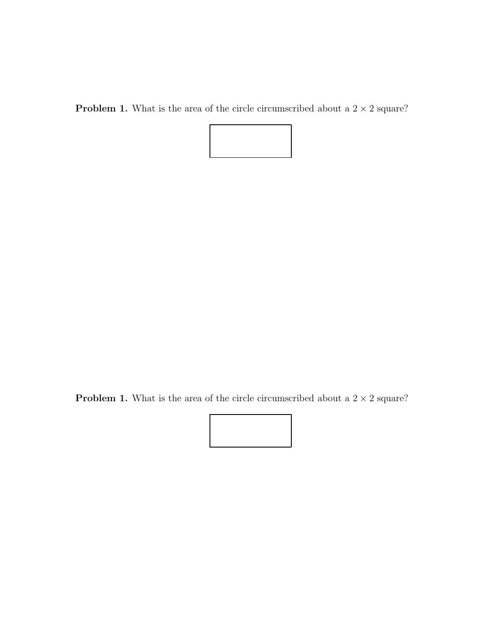**Problem 1.** What is the area of the circle circumscribed about a  $2 \times 2$  square?

**Problem 1.** What is the area of the circle circumscribed about a  $2 \times 2$  square?

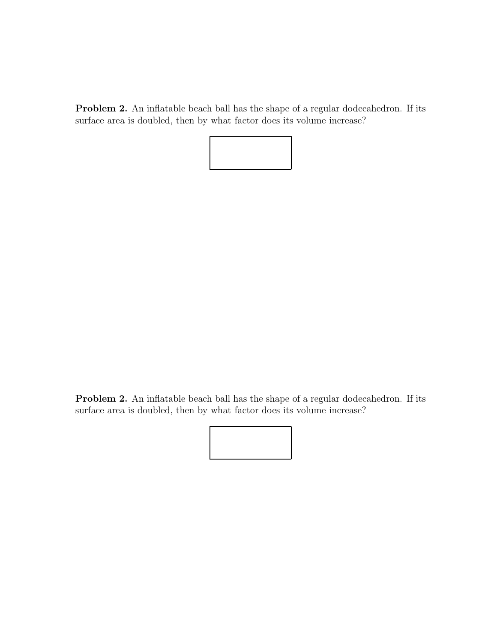Problem 2. An inflatable beach ball has the shape of a regular dodecahedron. If its surface area is doubled, then by what factor does its volume increase?



Problem 2. An inflatable beach ball has the shape of a regular dodecahedron. If its surface area is doubled, then by what factor does its volume increase?

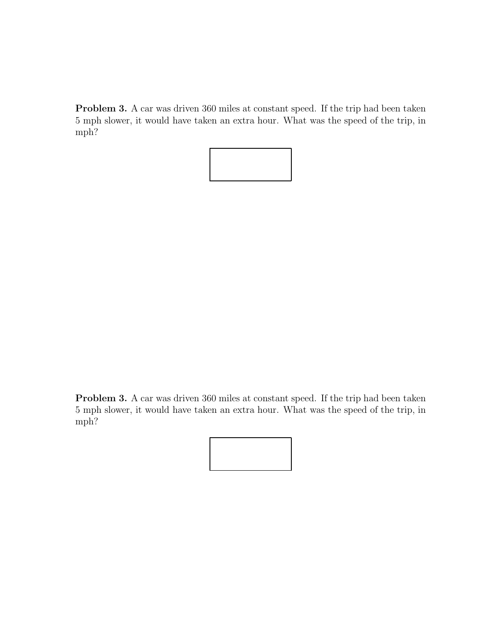Problem 3. A car was driven 360 miles at constant speed. If the trip had been taken 5 mph slower, it would have taken an extra hour. What was the speed of the trip, in mph?



Problem 3. A car was driven 360 miles at constant speed. If the trip had been taken 5 mph slower, it would have taken an extra hour. What was the speed of the trip, in mph?

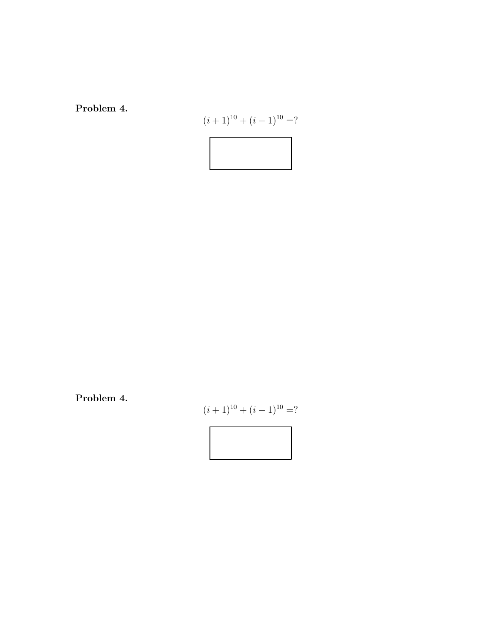Problem 4.

$$
(i+1)^{10} + (i-1)^{10} = ?
$$

Problem 4.

$$
(i+1)^{10} + (i-1)^{10} = ?
$$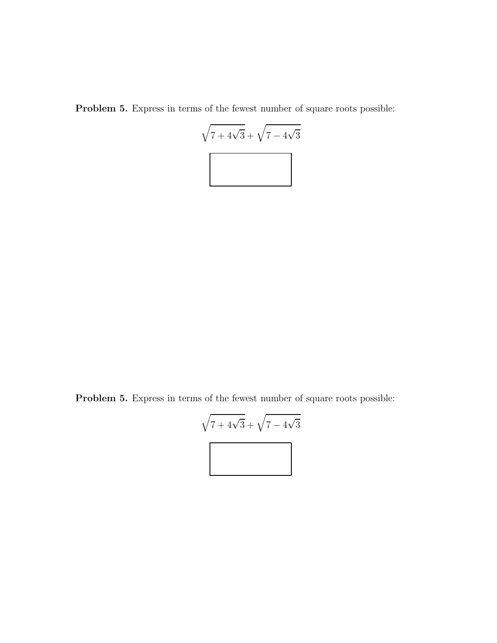Problem 5. Express in terms of the fewest number of square roots possible:



Problem 5. Express in terms of the fewest number of square roots possible:

$$
\sqrt{7+4\sqrt{3}} + \sqrt{7-4\sqrt{3}}
$$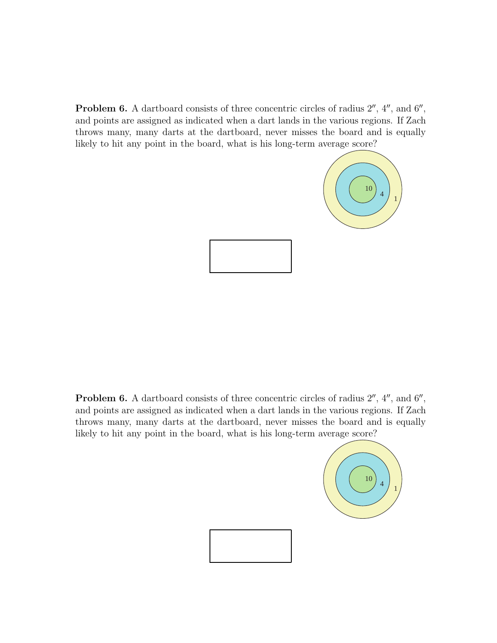**Problem 6.** A dartboard consists of three concentric circles of radius  $2^{\prime\prime}$ ,  $4^{\prime\prime}$ , and  $6^{\prime\prime}$ , and points are assigned as indicated when a dart lands in the various regions. If Zach throws many, many darts at the dartboard, never misses the board and is equally likely to hit any point in the board, what is his long-term average score?



**Problem 6.** A dartboard consists of three concentric circles of radius  $2^{\prime\prime}$ ,  $4^{\prime\prime}$ , and  $6^{\prime\prime}$ , and points are assigned as indicated when a dart lands in the various regions. If Zach throws many, many darts at the dartboard, never misses the board and is equally likely to hit any point in the board, what is his long-term average score?



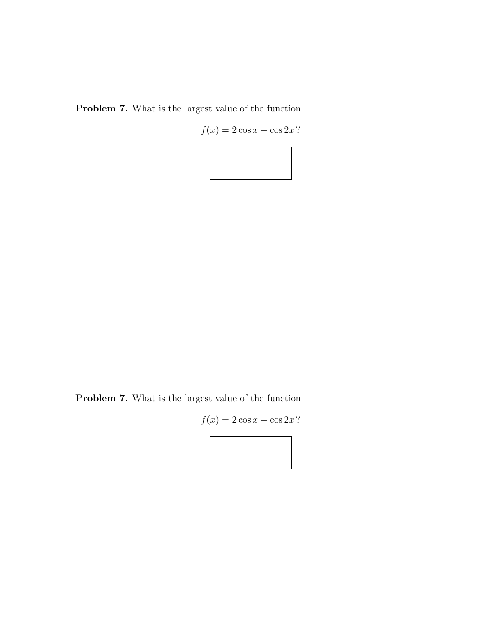Problem 7. What is the largest value of the function

 $f(x) = 2 \cos x - \cos 2x$ ?



Problem 7. What is the largest value of the function

$$
f(x) = 2\cos x - \cos 2x?
$$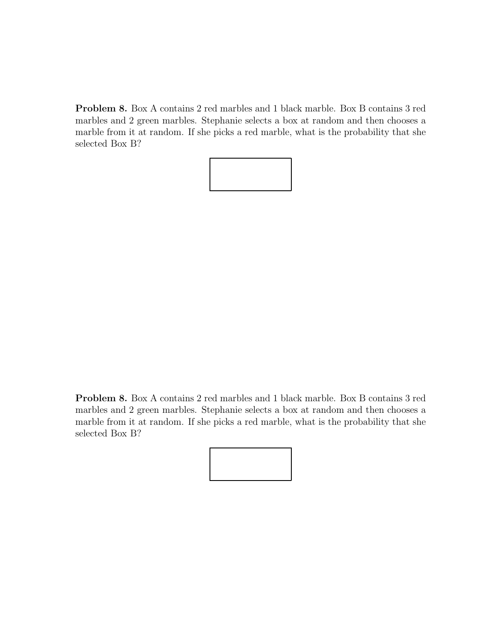Problem 8. Box A contains 2 red marbles and 1 black marble. Box B contains 3 red marbles and 2 green marbles. Stephanie selects a box at random and then chooses a marble from it at random. If she picks a red marble, what is the probability that she selected Box B?



Problem 8. Box A contains 2 red marbles and 1 black marble. Box B contains 3 red marbles and 2 green marbles. Stephanie selects a box at random and then chooses a marble from it at random. If she picks a red marble, what is the probability that she selected Box B?

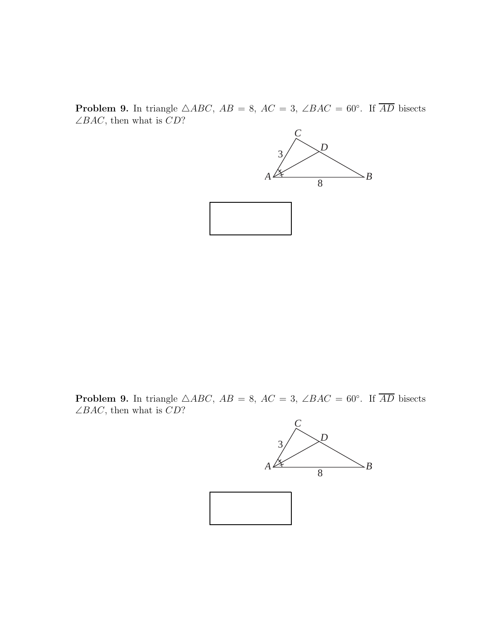**Problem 9.** In triangle  $\triangle ABC$ ,  $AB = 8$ ,  $AC = 3$ ,  $\angle BAC = 60^\circ$ . If  $\overline{AD}$  bisects  $\angle BAC,$  then what is  $CD?$ 



**Problem 9.** In triangle  $\triangle ABC$ ,  $AB = 8$ ,  $AC = 3$ ,  $\angle BAC = 60^\circ$ . If  $\overline{AD}$  bisects  $\angle BAC$ , then what is  $CD$ ?